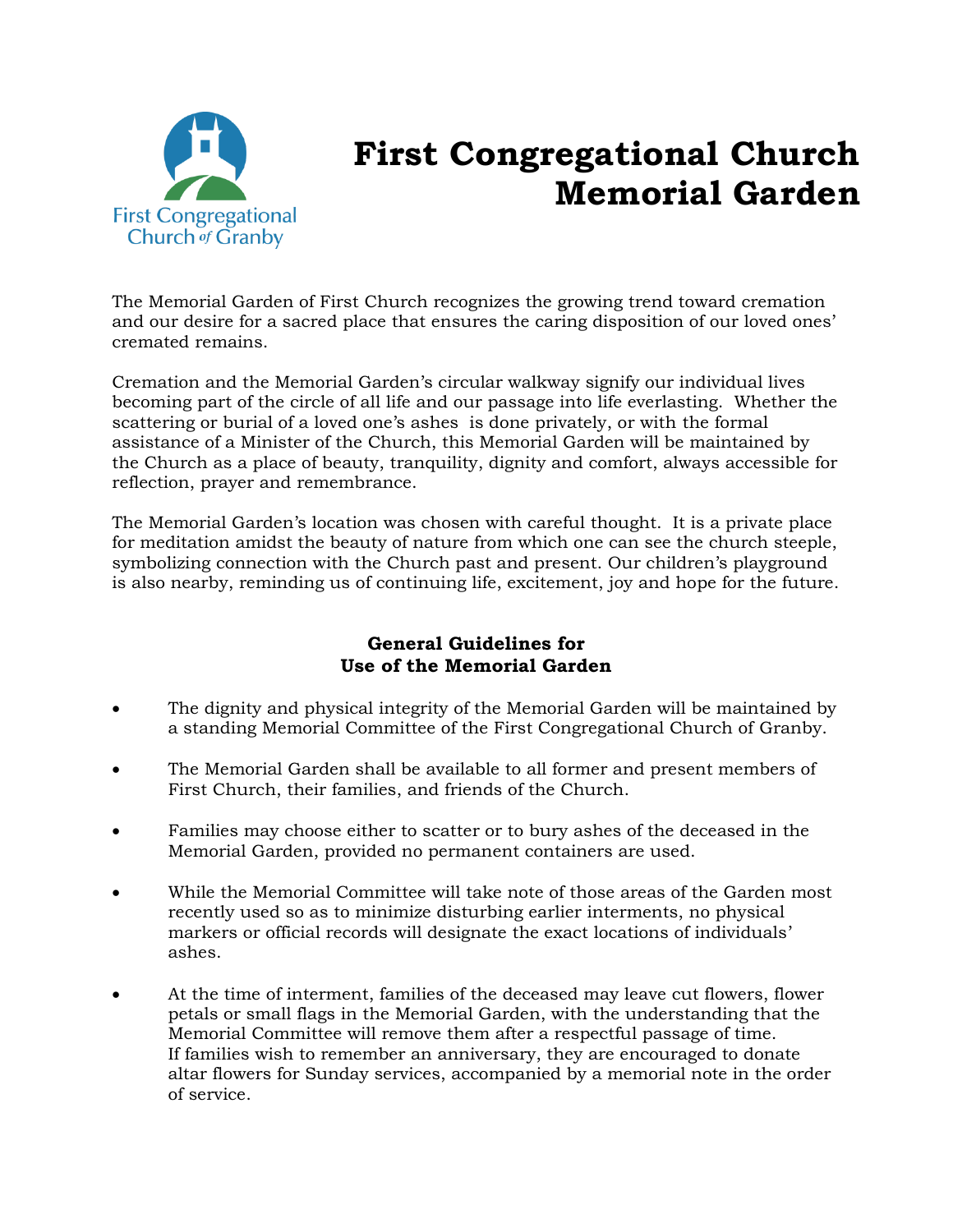

## **First Congregational Church Memorial Garden**

The Memorial Garden of First Church recognizes the growing trend toward cremation and our desire for a sacred place that ensures the caring disposition of our loved ones' cremated remains.

Cremation and the Memorial Garden's circular walkway signify our individual lives becoming part of the circle of all life and our passage into life everlasting. Whether the scattering or burial of a loved one's ashes is done privately, or with the formal assistance of a Minister of the Church, this Memorial Garden will be maintained by the Church as a place of beauty, tranquility, dignity and comfort, always accessible for reflection, prayer and remembrance.

The Memorial Garden's location was chosen with careful thought. It is a private place for meditation amidst the beauty of nature from which one can see the church steeple, symbolizing connection with the Church past and present. Our children's playground is also nearby, reminding us of continuing life, excitement, joy and hope for the future.

## **General Guidelines for Use of the Memorial Garden**

- The dignity and physical integrity of the Memorial Garden will be maintained by a standing Memorial Committee of the First Congregational Church of Granby.
- The Memorial Garden shall be available to all former and present members of First Church, their families, and friends of the Church.
- Families may choose either to scatter or to bury ashes of the deceased in the Memorial Garden, provided no permanent containers are used.
- While the Memorial Committee will take note of those areas of the Garden most recently used so as to minimize disturbing earlier interments, no physical markers or official records will designate the exact locations of individuals' ashes.
- At the time of interment, families of the deceased may leave cut flowers, flower petals or small flags in the Memorial Garden, with the understanding that the Memorial Committee will remove them after a respectful passage of time. If families wish to remember an anniversary, they are encouraged to donate altar flowers for Sunday services, accompanied by a memorial note in the order of service.